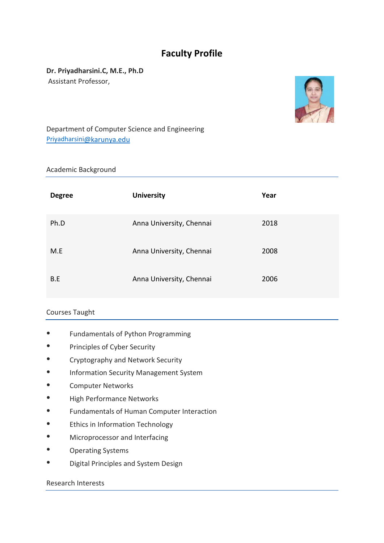# **Faculty Profile**

**Dr. Priyadharsini.C, M.E., Ph.D** Assistant Professor,



Department of Computer Science and Engineering [Priyadharsini](mailto:Priyadharsini@karunya.edu)[@karunya.edu](mailto:Priyadharsini@karunya.edu)

### Academic Background

| <b>Degree</b> | <b>University</b>        | Year |
|---------------|--------------------------|------|
| Ph.D          | Anna University, Chennai | 2018 |
| M.E           | Anna University, Chennai | 2008 |
| B.E           | Anna University, Chennai | 2006 |

# Courses Taught

- Fundamentals of Python Programming
- Principles of Cyber Security
- Cryptography and Network Security
- Information Security Management System
- Computer Networks
- High Performance Networks
- Fundamentals of Human Computer Interaction
- Ethics in Information Technology
- Microprocessor and Interfacing
- Operating Systems
- Digital Principles and System Design

## Research Interests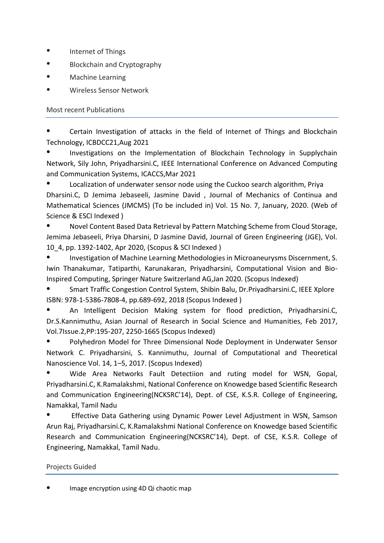- Internet of Things
- Blockchain and Cryptography
- Machine Learning

Wireless Sensor Network

Most recent Publications

Certain Investigation of attacks in the field of Internet of Things and Blockchain Technology, ICBDCC21,Aug 2021

Investigations on the Implementation of Blockchain Technology in Supplychain Network, Sily John, Priyadharsini.C, IEEE International Conference on Advanced Computing and Communication Systems, ICACCS,Mar 2021

Localization of underwater sensor node using the Cuckoo search algorithm, Priya Dharsini.C, D Jemima Jebaseeli, Jasmine David , Journal of Mechanics of Continua and Mathematical Sciences (JMCMS) (To be included in) Vol. 15 No. 7, January, 2020. (Web of Science & ESCI Indexed )

Novel Content Based Data Retrieval by Pattern Matching Scheme from Cloud Storage, Jemima Jebaseeli, Priya Dharsini, D Jasmine David, Journal of Green Engineering (JGE), Vol. 10\_4, pp. 1392-1402, Apr 2020, (Scopus & SCI Indexed )

Investigation of Machine Learning Methodologies in Microaneurysms Discernment, S. Iwin Thanakumar, Tatiparthi, Karunakaran, Priyadharsini, Computational Vision and Bio-Inspired Computing, Springer Nature Switzerland AG,Jan 2020. (Scopus Indexed)

Smart Traffic Congestion Control System, Shibin Balu, Dr.Priyadharsini.C, IEEE Xplore ISBN: 978-1-5386-7808-4, pp.689-692, 2018 (Scopus Indexed )

An Intelligent Decision Making system for flood prediction, Priyadharsini.C, Dr.S.Kannimuthu, Asian Journal of Research in Social Science and Humanities, Feb 2017, Vol.7Issue.2,PP:195-207, 2250-1665 (Scopus Indexed)

Polyhedron Model for Three Dimensional Node Deployment in Underwater Sensor Network C. Priyadharsini, S. Kannimuthu, Journal of Computational and Theoretical Nanoscience Vol. 14, 1–5, 2017. (Scopus Indexed)

● Wide Area Networks Fault Detectiion and ruting model for WSN, Gopal, Priyadharsini.C, K.Ramalakshmi, National Conference on Knowedge based Scientific Research and Communication Engineering(NCKSRC'14), Dept. of CSE, K.S.R. College of Engineering, Namakkal, Tamil Nadu

Effective Data Gathering using Dynamic Power Level Adjustment in WSN, Samson Arun Raj, Priyadharsini.C, K.Ramalakshmi National Conference on Knowedge based Scientific Research and Communication Engineering(NCKSRC'14), Dept. of CSE, K.S.R. College of Engineering, Namakkal, Tamil Nadu.

# Projects Guided

Image encryption using 4D Qi chaotic map